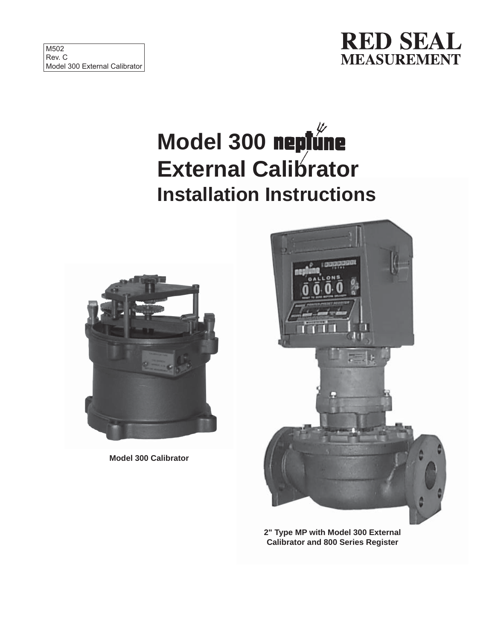

# **Model 300 External Calibrator Installation Instructions**



**Model 300 Calibrator**



**2" Type MP with Model 300 External Calibrator and 800 Series Register**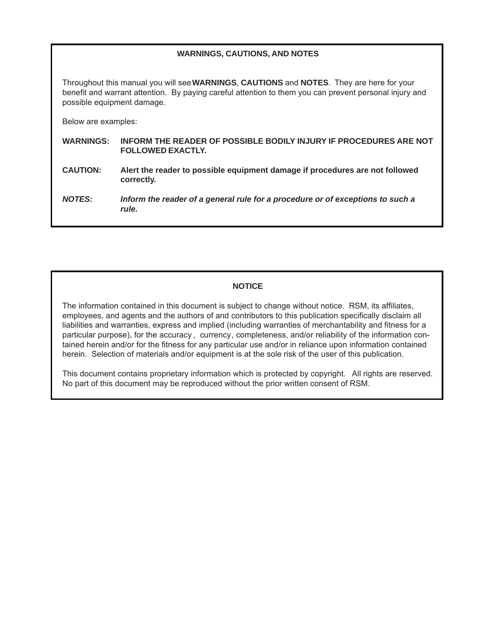## **WARNINGS, CAUTIONS, AND NOTES**

Throughout this manual you will see **WARNINGS**, **CAUTIONS** and **NOTES**. They are here for your benefit and warrant attention. By paying careful attention to them you can prevent personal injury and possible equipment damage.

Below are examples:

- **WARNINGS: INFORM THE READER OF POSSIBLE BODILY INJURY IF PROCEDURES ARE NOT FOLLOWED EXACTLY.**
- **CAUTION: Alert the reader to possible equipment damage if procedures are not followed correctly.**

*NOTES: Inform the reader of a general rule for a procedure or of exceptions to such a rule.*

## **NOTICE**

The information contained in this document is subject to change without notice. RSM, its affiliates, employees, and agents and the authors of and contributors to this publication specifically disclaim all liabilities and warranties, express and implied (including warranties of merchantability and fitness for a particular purpose), for the accuracy , currency, completeness, and/or reliability of the information contained herein and/or for the fitness for any particular use and/or in reliance upon information contained herein. Selection of materials and/or equipment is at the sole risk of the user of this publication.

This document contains proprietary information which is protected by copyright. All rights are reserved. No part of this document may be reproduced without the prior written consent of RSM.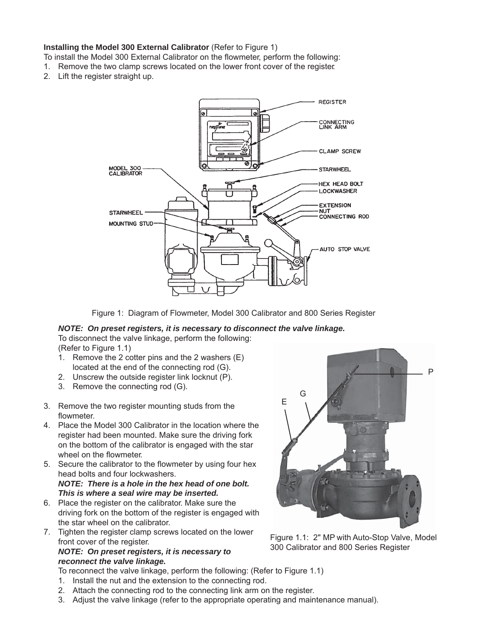#### **Installing the Model 300 External Calibrator** (Refer to Figure 1)

To install the Model 300 External Calibrator on the flowmeter, perform the following:

- 1. Remove the two clamp screws located on the lower front cover of the register.
- 2. Lift the register straight up.



Figure 1: Diagram of Flowmeter, Model 300 Calibrator and 800 Series Register

## *NOTE: On preset registers, it is necessary to disconnect the valve linkage.* To disconnect the valve linkage, perform the following:

(Refer to Figure 1.1)

- 1. Remove the 2 cotter pins and the 2 washers (E) located at the end of the connecting rod (G).
- 2. Unscrew the outside register link locknut (P).
- 3. Remove the connecting rod (G).
- 3. Remove the two register mounting studs from the flowmeter.
- 4. Place the Model 300 Calibrator in the location where the register had been mounted. Make sure the driving fork on the bottom of the calibrator is engaged with the star wheel on the flowmeter.
- 5. Secure the calibrator to the flowmeter by using four hex head bolts and four lockwashers. *NOTE: There is a hole in the hex head of one bolt. This is where a seal wire may be inserted.*
- 6. Place the register on the calibrator. Make sure the driving fork on the bottom of the register is engaged with the star wheel on the calibrator.
- 7. Tighten the register clamp screws located on the lower front cover of the register.

### *NOTE: On preset registers, it is necessary to reconnect the valve linkage.*



Figure 1.1: 2" MP with Auto-Stop Valve, Model 300 Calibrator and 800 Series Register

- To reconnect the valve linkage, perform the following: (Refer to Figure 1.1)
- 1. Install the nut and the extension to the connecting rod.
- 2. Attach the connecting rod to the connecting link arm on the register.
- 3. Adjust the valve linkage (refer to the appropriate operating and maintenance manual).